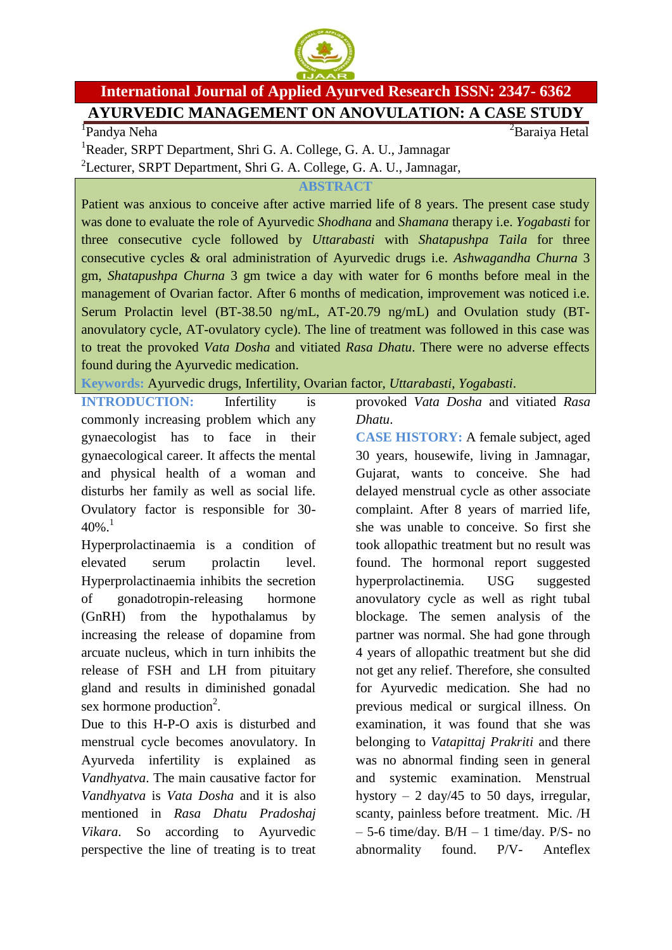

## **International Journal of Applied Ayurved Research ISSN: 2347- 6362 AYURVEDIC MANAGEMENT ON ANOVULATION: A CASE STUDY**

1 Pandya Neha

 ${}^{2}$ Baraiya Hetal

<sup>1</sup>Reader, SRPT Department, Shri G. A. College, G. A. U., Jamnagar <sup>2</sup>Lecturer, SRPT Department, Shri G. A. College, G. A. U., Jamnagar,

## **ABSTRACT**

Patient was anxious to conceive after active married life of 8 years. The present case study was done to evaluate the role of Ayurvedic *Shodhana* and *Shamana* therapy i.e. *Yogabasti* for three consecutive cycle followed by *Uttarabasti* with *Shatapushpa Taila* for three consecutive cycles & oral administration of Ayurvedic drugs i.e. *Ashwagandha Churna* 3 gm, *Shatapushpa Churna* 3 gm twice a day with water for 6 months before meal in the management of Ovarian factor. After 6 months of medication, improvement was noticed i.e. Serum Prolactin level (BT-38.50 ng/mL, AT-20.79 ng/mL) and Ovulation study (BTanovulatory cycle, AT-ovulatory cycle). The line of treatment was followed in this case was to treat the provoked *Vata Dosha* and vitiated *Rasa Dhatu*. There were no adverse effects found during the Ayurvedic medication.

**Keywords:** Ayurvedic drugs, Infertility, Ovarian factor, *Uttarabasti*, *Yogabasti*.

**INTRODUCTION:** Infertility is commonly increasing problem which any gynaecologist has to face in their gynaecological career. It affects the mental and physical health of a woman and disturbs her family as well as social life. Ovulatory factor is responsible for 30-  $40\%$ <sup>1</sup>

Hyperprolactinaemia is a condition of elevated serum prolactin level. Hyperprolactinaemia inhibits the secretion of gonadotropin-releasing hormone (GnRH) from the hypothalamus by increasing the release of dopamine from arcuate nucleus, which in turn inhibits the release of FSH and LH from pituitary gland and results in diminished gonadal sex hormone production<sup>2</sup>.

Due to this H-P-O axis is disturbed and menstrual cycle becomes anovulatory. In Ayurveda infertility is explained as *Vandhyatva*. The main causative factor for *Vandhyatva* is *Vata Dosha* and it is also mentioned in *Rasa Dhatu Pradoshaj Vikara*. So according to Ayurvedic perspective the line of treating is to treat provoked *Vata Dosha* and vitiated *Rasa Dhatu*.

**CASE HISTORY:** A female subject, aged 30 years, housewife, living in Jamnagar, Gujarat, wants to conceive. She had delayed menstrual cycle as other associate complaint. After 8 years of married life, she was unable to conceive. So first she took allopathic treatment but no result was found. The hormonal report suggested hyperprolactinemia. USG suggested anovulatory cycle as well as right tubal blockage. The semen analysis of the partner was normal. She had gone through 4 years of allopathic treatment but she did not get any relief. Therefore, she consulted for Ayurvedic medication. She had no previous medical or surgical illness. On examination, it was found that she was belonging to *Vatapittaj Prakriti* and there was no abnormal finding seen in general and systemic examination. Menstrual hystory  $-2 \text{ day}/45$  to 50 days, irregular, scanty, painless before treatment. Mic. /H  $-5$ -6 time/day. B/H  $-1$  time/day. P/S- no abnormality found. P/V- Anteflex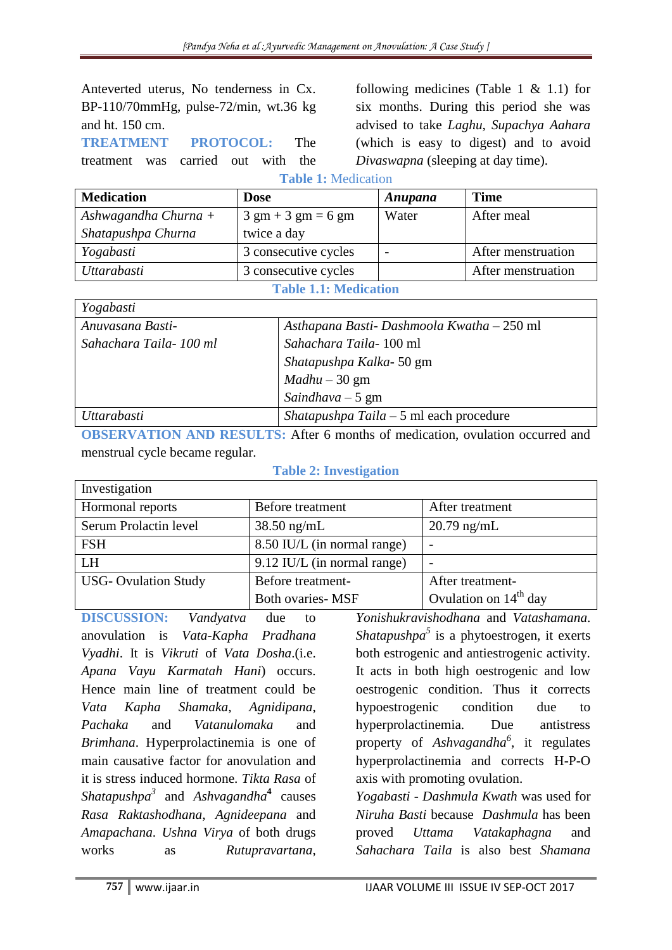Anteverted uterus, No tenderness in Cx. BP-110/70mmHg, pulse-72/min, wt.36 kg and ht. 150 cm.

**TREATMENT PROTOCOL:** The

treatment was carried out with the

following medicines (Table 1  $& 1.1$ ) for six months. During this period she was advised to take *Laghu*, *Supachya Aahara*  (which is easy to digest) and to avoid *Divaswapna* (sleeping at day time).

**Table 1:** Medication

| <b>Medication</b>    | <b>Dose</b>                                  | Anupana | <b>Time</b>        |
|----------------------|----------------------------------------------|---------|--------------------|
| Ashwagandha Churna + | $3 \text{ gm} + 3 \text{ gm} = 6 \text{ gm}$ | Water   | After meal         |
| Shatapushpa Churna   | twice a day                                  |         |                    |
| Yogabasti            | 3 consecutive cycles                         | -       | After menstruation |
| Uttarabasti          | 3 consecutive cycles                         |         | After menstruation |

**Table 1.1: Medication**

| Yogabasti              |                                            |  |
|------------------------|--------------------------------------------|--|
| Anuvasana Basti-       | Asthapana Basti- Dashmoola Kwatha - 250 ml |  |
| Sahachara Taila-100 ml | Sahachara Taila-100 ml                     |  |
|                        | Shatapushpa Kalka-50 gm                    |  |
|                        | $Madhu - 30 gm$                            |  |
|                        | Saindhava $-5$ gm                          |  |
| Uttarabasti            | Shatapushpa Taila $-5$ ml each procedure   |  |

**OBSERVATION AND RESULTS:** After 6 months of medication, ovulation occurred and menstrual cycle became regular.

## **Table 2: Investigation**

| Investigation               |                             |                         |  |  |
|-----------------------------|-----------------------------|-------------------------|--|--|
| Hormonal reports            | Before treatment            | After treatment         |  |  |
| Serum Prolactin level       | $38.50$ ng/mL               | $20.79$ ng/mL           |  |  |
| <b>FSH</b>                  | 8.50 IU/L (in normal range) |                         |  |  |
| <b>LH</b>                   | 9.12 IU/L (in normal range) |                         |  |  |
| <b>USG- Ovulation Study</b> | Before treatment-           | After treatment-        |  |  |
|                             | <b>Both ovaries- MSF</b>    | Ovulation on $14th$ day |  |  |

**DISCUSSION:** *Vandyatva* due to anovulation is *Vata*-*Kapha Pradhana Vyadhi*. It is *Vikruti* of *Vata Dosha*.(i.e. *Apana Vayu Karmatah Hani*) occurs. Hence main line of treatment could be *Vata Kapha Shamaka*, *Agnidipana*, *Pachaka* and *Vatanulomaka* and *Brimhana*. Hyperprolactinemia is one of main causative factor for anovulation and it is stress induced hormone. *Tikta Rasa* of *Shatapushpa<sup>3</sup>* and *Ashvagandha***<sup>4</sup>** causes *Rasa Raktashodhana*, *Agnideepana* and *Amapachana*. *Ushna Virya* of both drugs works as *Rutupravartana*,

*Yonishukravishodhana* and *Vatashamana*. *Shatapushpa<sup>5</sup>* is a phytoestrogen, it exerts both estrogenic and antiestrogenic activity. It acts in both high oestrogenic and low oestrogenic condition. Thus it corrects hypoestrogenic condition due to hyperprolactinemia. Due antistress property of *Ashvagandha<sup>6</sup>* , it regulates hyperprolactinemia and corrects H-P-O axis with promoting ovulation.

*Yogabasti* - *Dashmula Kwath* was used for *Niruha Basti* because *Dashmula* has been proved *Uttama Vatakaphagna* and *Sahachara Taila* is also best *Shamana*